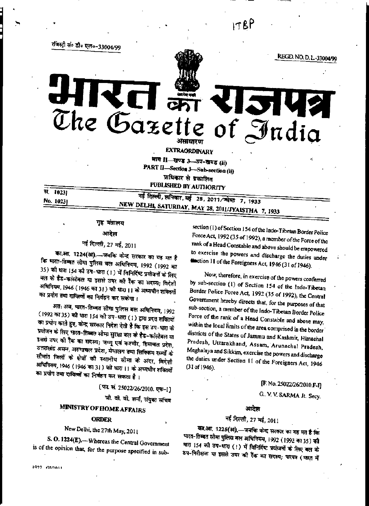$178P$ 

REGD. NO. D. L.-33004/99

रजिस्ट्री सं० डी० एल०-33004/99

The Gazette of India **EXTRAORDINARY** भाग II-खण्ड 3--उप-खण्ड (ii) PART II-Section 3-Sub-section (ii) प्राधिकार से प्रकाशित PUBLISHED BY AUTHORITY

सं 1023] No. 1023)

नई दिल्ली, शनिवार, मई 28, 2011/ज्येष्ठ 7, 1933 NEW DELHI, SATURDAY, MAY 28, 2011/JYAISTHA 7, 1933

### गृह मंत्रालय

### आदेश

# नई दिल्ली, 27 मई, 2011

का.आ. 1224(अ).--जबकि केन्द्र सरकार का यह मत है कि भारत-तिब्बत सोमा पुलिस बल अधिनियम, 1992 (1992 का 35) की धारा 154 की उप-धारा (1) में विनिर्दिष्ट प्रयोजनों के लिए बल के हैड-कांस्टेबल या इससे उपर की रैंक का सदस्य; विदेशी अधिनियम, 1946 (1946 का 31) को धारा ।। के अध्यक्षीन शक्तियों का प्रयोग तथा दायित्वों का निर्वहन कर सकेगा।

अत: अब, पारत-तिब्बत सीमा पुलिस बल अधिनियम, 1992 (1992 का 35) को धारा 154 की उप-धारा (1) द्वारा प्रदत्त शक्तियों का प्रयोग करते हुए, केन्द्र सरकार निदेश देती है कि इस उप-धारा के प्रयोजन के लिए भारत-तिब्बत सीमा सुरक्षा बल के हैड-कांस्टेबल या इससे उपर की रैंक का सदस्य; जम्मू एवं कश्मीर, हिमाचल प्रदेश, उत्तराखंड असम, अरुणाचल प्रदेश, मेघालय तथा सिक्किम राज्यों के सीमांत जिलों के क्षेत्रों की स्थानीय सीमा के अंदर, विदेशी अधिनियम, 1946 (1946 का 31) को धारा 11 के अध्यधीन शक्तियों का प्रयोग तथा दायित्लों का निर्वहन कर सकता है।

[फा. सं. 25022/26/2010. एफ-1]

जी. वी. वी. शर्मा, संयुक्त सचिव

# **MINISTRY OF HOME AFFAIRS**

### **ORDER**

# New Delhi, the 27th May, 2011

S. O. 1224(E).--Whereas the Central Government is of the opinion that, for the purpose specified in sub-

1972 GIDALI

section (1) of Section 154 of the Indo-Tibetan Border Police Force Act, 1992 (35 of 1992), a member of the Force of the rank of a Head Constable and above should be empowered to exercise the powers and discharge the duties under faction 11 of the Foreigners Act, 1946 (31 of 1946).

**251** 

Now, therefore, in exercise of the powers conferred by sub-section (1) of Section 154 of the Indo-Tibetan Border Police Force Act, 1992 (35 of 1992), the Central Government hereby directs that, for the purposes of that sub-section, a member of the Indo-Tibetan Border Police Force of the rank of a Head Constable and above may, within the local limits of the area comprised in the border districts of the States of Jammu and Kashmir, Himachal Pradesh, Uttarakhand, Assam, Arunachal Pradesh, Meghalaya and Sikkim, exercise the powers and discharge the duties under Section 11 of the Foreigners Act, 1946  $(31 of 1946)$ .

[F. No. 25022/26/2010.F-I]

G. V. V. SARMA Jt. Secy.

#### आदेश

### नई दिल्ली, 27 मई, 2011

का.आ. 1225(अ),—जबकि केन्द्र सरकार का यह मत है कि मारत-तिब्बत सौमा पुलिस बल अधिनियम, 1992 (1992 का 35) की धारा 154 की उप-धारा (!) में विनिर्दिष्ट प्रयोजनों के लिए बल के ठप-निरीक्षक या इससे उपर की रैंक का सदस्य; पारपत्र (फारत में